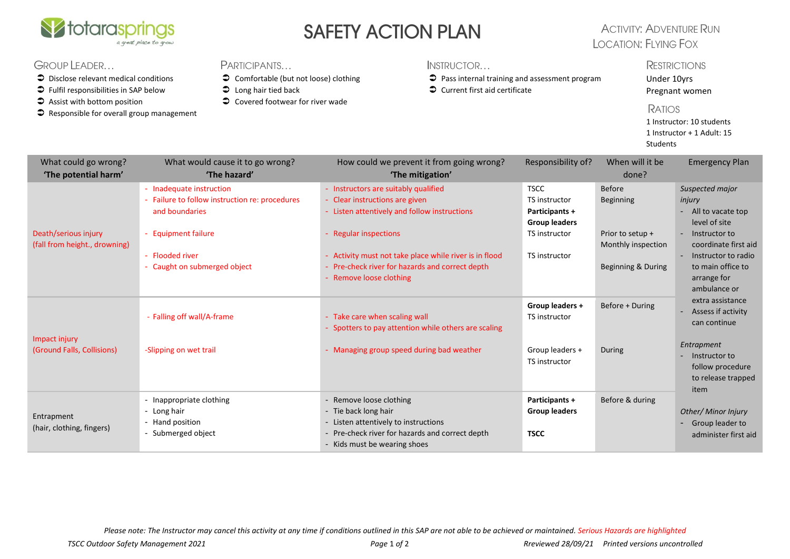

## SAFETY ACTION PLAN

## **ACTIVITY: ADVENTURE RUN LOCATION: FLYING FOX**

### GROUP LEADER...

- $\supset$  Disclose relevant medical conditions
- $\supset$  Fulfil responsibilities in SAP below
- $\supset$  Assist with bottom position
- $\bullet$  Responsible for overall group management

#### **PARTICIPANTS**

- Comfortable (but not loose) clothing
- $\supset$  Long hair tied back
- $\bullet$  Covered footwear for river wade

#### INSTRUCTOR...

- Pass internal training and assessment program
- $\bullet$  Current first aid certificate

#### **RESTRICTIONS**

Under 10yrs Pregnant women

#### **RATIOS**

1 Instructor: 10 students 1 Instructor + 1 Adult: 15 Students

| What could go wrong?<br>'The potential harm'          | What would cause it to go wrong?<br>'The hazard'                                                                    | How could we prevent it from going wrong?<br>'The mitigation'                                                                                                              | Responsibility of?                                                                                    | When will it be<br>done?                              | <b>Emergency Plan</b>                                                                                                                                                                     |  |
|-------------------------------------------------------|---------------------------------------------------------------------------------------------------------------------|----------------------------------------------------------------------------------------------------------------------------------------------------------------------------|-------------------------------------------------------------------------------------------------------|-------------------------------------------------------|-------------------------------------------------------------------------------------------------------------------------------------------------------------------------------------------|--|
| Death/serious injury<br>(fall from height., drowning) | - Inadequate instruction<br>- Failure to follow instruction re: procedures<br>and boundaries<br>- Equipment failure | - Instructors are suitably qualified<br>- Clear instructions are given<br>- Listen attentively and follow instructions<br>- Regular inspections                            | <b>TSCC</b><br>TS instructor<br><b>Participants +</b><br><b>Group leaders</b><br><b>TS</b> instructor | <b>Before</b><br><b>Beginning</b><br>Prior to setup + | Suspected major<br>injury<br>- All to vacate top<br>level of site<br>- Instructor to<br>coordinate first aid<br>- Instructor to radio<br>to main office to<br>arrange for<br>ambulance or |  |
|                                                       | - Flooded river<br>Caught on submerged object                                                                       | - Activity must not take place while river is in flood<br>- Pre-check river for hazards and correct depth<br>- Remove loose clothing                                       | TS instructor                                                                                         | Monthly inspection<br>Beginning & During              |                                                                                                                                                                                           |  |
|                                                       | - Falling off wall/A-frame                                                                                          | - Take care when scaling wall<br>Spotters to pay attention while others are scaling                                                                                        | Group leaders +<br><b>TS</b> instructor                                                               | Before + During                                       | extra assistance<br>- Assess if activity<br>can continue                                                                                                                                  |  |
| Impact injury<br>(Ground Falls, Collisions)           | -Slipping on wet trail                                                                                              | - Managing group speed during bad weather                                                                                                                                  | Group leaders +<br>TS instructor                                                                      | During                                                | Entrapment<br>- Instructor to<br>follow procedure<br>to release trapped<br>item                                                                                                           |  |
| Entrapment<br>(hair, clothing, fingers)               | - Inappropriate clothing<br>- Long hair<br>- Hand position<br>- Submerged object                                    | - Remove loose clothing<br>- Tie back long hair<br>- Listen attentively to instructions<br>- Pre-check river for hazards and correct depth<br>- Kids must be wearing shoes | Participants +<br><b>Group leaders</b><br><b>TSCC</b>                                                 | Before & during                                       | Other/ Minor Injury<br>- Group leader to<br>administer first aid                                                                                                                          |  |

*Please note: The Instructor may cancel this activity at any time if conditions outlined in this SAP are not able to be achieved or maintained. Serious Hazards are highlighted*